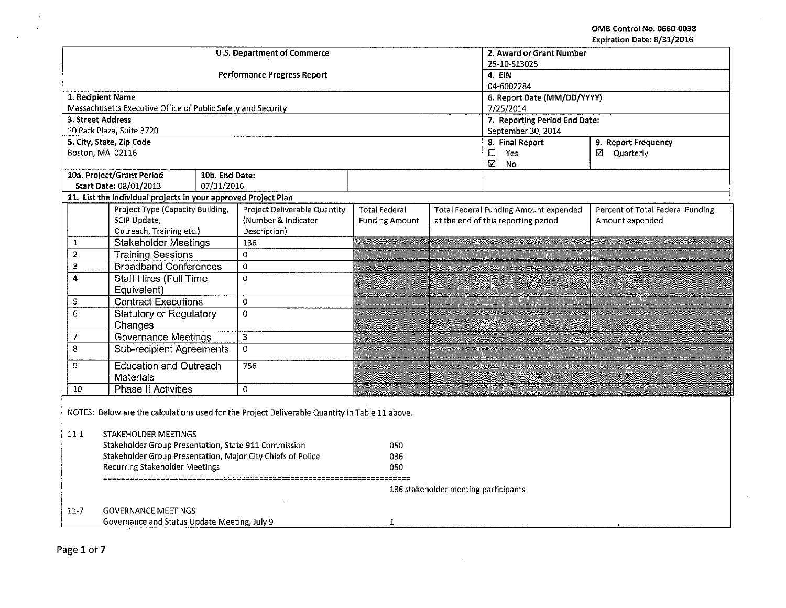OMB Control No. 0660-0038 Expiration Date: 8/31/2016

÷.

|                                |                                                                                                | <b>U.S. Department of Commerce</b> | 2. Award or Grant Number<br>25-10-S13025 |                                      |  |                                       |                                  |  |  |
|--------------------------------|------------------------------------------------------------------------------------------------|------------------------------------|------------------------------------------|--------------------------------------|--|---------------------------------------|----------------------------------|--|--|
|                                |                                                                                                |                                    | <b>Performance Progress Report</b>       | 4. EIN<br>04-6002284                 |  |                                       |                                  |  |  |
|                                | 1. Recipient Name                                                                              |                                    |                                          | 6. Report Date (MM/DD/YYYY)          |  |                                       |                                  |  |  |
|                                | Massachusetts Executive Office of Public Safety and Security                                   |                                    |                                          | 7/25/2014                            |  |                                       |                                  |  |  |
|                                | 3. Street Address                                                                              |                                    |                                          |                                      |  | 7. Reporting Period End Date:         |                                  |  |  |
|                                | 10 Park Plaza, Suite 3720                                                                      |                                    |                                          |                                      |  | September 30, 2014                    |                                  |  |  |
|                                | 5. City, State, Zip Code                                                                       |                                    |                                          |                                      |  | 8. Final Report                       | 9. Report Frequency              |  |  |
|                                | Boston, MA 02116                                                                               |                                    |                                          |                                      |  | $\Box$<br>Yes<br>⊠<br><b>No</b>       | ☑ Quarterly                      |  |  |
|                                | 10a. Project/Grant Period                                                                      | 10b. End Date:                     |                                          |                                      |  |                                       |                                  |  |  |
|                                | Start Date: 08/01/2013                                                                         | 07/31/2016                         |                                          |                                      |  |                                       |                                  |  |  |
|                                | 11. List the individual projects in your approved Project Plan                                 |                                    |                                          |                                      |  |                                       |                                  |  |  |
|                                | Project Type (Capacity Building,                                                               |                                    | Project Deliverable Quantity             | <b>Total Federal</b>                 |  | Total Federal Funding Amount expended | Percent of Total Federal Funding |  |  |
|                                | SCIP Update,                                                                                   |                                    | (Number & Indicator                      | <b>Funding Amount</b>                |  | at the end of this reporting period   | Amount expended                  |  |  |
|                                | Outreach, Training etc.)                                                                       |                                    | Description)                             |                                      |  |                                       |                                  |  |  |
| $\mathbf{1}$<br>$\overline{2}$ | <b>Stakeholder Meetings</b>                                                                    |                                    | 136<br>0                                 |                                      |  |                                       |                                  |  |  |
| 3                              | <b>Training Sessions</b><br><b>Broadband Conferences</b>                                       |                                    | $\mathbf 0$                              |                                      |  |                                       |                                  |  |  |
| $\overline{4}$                 | <b>Staff Hires (Full Time</b>                                                                  |                                    | 0                                        |                                      |  |                                       |                                  |  |  |
|                                | Equivalent)                                                                                    |                                    |                                          |                                      |  |                                       |                                  |  |  |
| 5                              | <b>Contract Executions</b>                                                                     |                                    | $\Omega$                                 |                                      |  |                                       |                                  |  |  |
| $\overline{6}$                 | <b>Statutory or Regulatory</b><br>Changes                                                      |                                    | $\overline{0}$                           |                                      |  |                                       |                                  |  |  |
| 7                              | <b>Governance Meetings</b>                                                                     |                                    | $\mathbf 3$                              |                                      |  |                                       |                                  |  |  |
| 8                              | <b>Sub-recipient Agreements</b>                                                                |                                    | $\overline{0}$                           |                                      |  |                                       |                                  |  |  |
| 9                              | <b>Education and Outreach</b><br><b>Materials</b>                                              |                                    | 756                                      |                                      |  |                                       |                                  |  |  |
| 10                             | <b>Phase II Activities</b>                                                                     |                                    | $\Omega$                                 |                                      |  |                                       |                                  |  |  |
|                                | NOTES: Below are the calculations used for the Project Deliverable Quantity in Table 11 above. |                                    |                                          |                                      |  |                                       |                                  |  |  |
| $11 - 1$                       | STAKEHOLDER MEETINGS                                                                           |                                    |                                          |                                      |  |                                       |                                  |  |  |
|                                | Stakeholder Group Presentation, State 911 Commission                                           |                                    |                                          |                                      |  |                                       |                                  |  |  |
|                                | Stakeholder Group Presentation, Major City Chiefs of Police                                    |                                    |                                          | 036<br>050                           |  |                                       |                                  |  |  |
|                                | <b>Recurring Stakeholder Meetings</b>                                                          |                                    |                                          |                                      |  |                                       |                                  |  |  |
|                                |                                                                                                |                                    |                                          | 136 stakeholder meeting participants |  |                                       |                                  |  |  |
| $11 - 7$                       | <b>GOVERNANCE MEETINGS</b>                                                                     |                                    |                                          |                                      |  |                                       |                                  |  |  |
|                                | Governance and Status Update Meeting, July 9                                                   |                                    |                                          | $\mathbf{1}$                         |  |                                       |                                  |  |  |
|                                |                                                                                                |                                    |                                          |                                      |  |                                       |                                  |  |  |

 $\langle \cdot \rangle$ 

 $\star$  $\Delta$ 

 $\hat{\mathcal{A}}$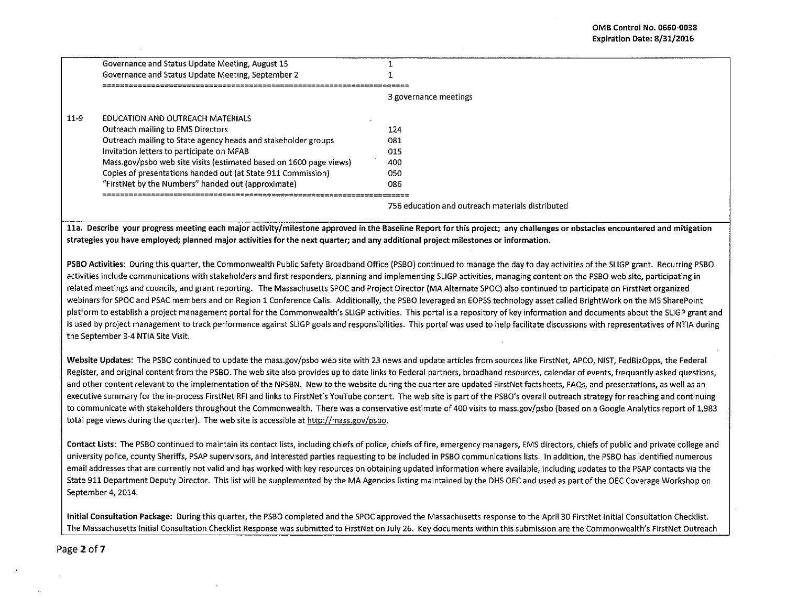|      | Governance and Status Update Meeting, August 15                    |                                                  |
|------|--------------------------------------------------------------------|--------------------------------------------------|
|      | Governance and Status Update Meeting, September 2                  |                                                  |
|      |                                                                    |                                                  |
|      |                                                                    | 3 governance meetings                            |
| 11-9 | EDUCATION AND OUTREACH MATERIALS                                   |                                                  |
|      | Outreach mailing to EMS Directors                                  | 124                                              |
|      | Outreach mailing to State agency heads and stakeholder groups      | O81                                              |
|      | Invitation letters to participate on MFAB                          | 015                                              |
|      | Mass.gov/psbo web site visits (estimated based on 1600 page views) | 400                                              |
|      | Copies of presentations handed out (at State 911 Commission)       | 050                                              |
|      | "FirstNet by the Numbers" handed out (approximate)                 | 086                                              |
|      |                                                                    |                                                  |
|      |                                                                    | 756 education and outreach materials distributed |
|      |                                                                    |                                                  |

lla. Describe your progress meeting each major activity/milestone approved in the Baseline Report for this project; any challenges or obstacles encountered and mitigation strategies you have employed; planned major activities for the next quarter; and any additional project milestones or information.

PSBO Activities: During this quarter, the Commonwealth Public Safety Broadband Office (PSBO) continued to manage the day to day activities of the SUGP grant. Recurring PSBO activities include communications with stakeholders and first responders, planning and implementing SUGP activities, managing content on the PSBO web site, participating in related meetings and councils, and grant reporting. The Massachusetts SPOC and Project Director {MA Alternate SPOC) also continued to participate on FirstNet organized webinars for SPOC and PSAC members and on Region 1 Conference Calls. Additionally, the PSBO leveraged an EOPSS technology asset called BrightWork on the MS SharePoint platform to establish a project management portal for the Commonwealth's SUGP activities. This portal is a repository of key information and documents about the SLJGP grant and is used by project management to track performance against SLIGP goals and responsibilities. This portal was used to help facilitate discussions with representatives of NTIA during the September 3-4 NTIA Site Visit.

Website Updates: The PSBO continued to update the mass.gov/psbo web site with 23 news and update articles from sources like FirstNet, APCO, NIST, FedBizOpps, the Federal Register, and original content from the PSBO. The web site also provides up to date links to Federal partners, broadband resources, calendar of events, frequently asked questions, and other content relevant to the implementation of the NPSBN. New to the website during the quarter are updated FirstNet factsheets, FAQs, and presentations, as well as an executive summary for the in-process FirstNet RFI and links to FirstNet's YouTube content. The web site is part of the PSBO's overall outreach strategy for reaching and continuing to communicate with stakeholders throughout the Commonwealth. There was a conservative estimate of 400 visits to mass.gov/psbo (based on a Google Analytics report of 1,983 total page views during the quarter). The web site is accessible at http://mass.gov/psbo.

Contact Lists: The PSBO continued to maintain its contact lists, including chiefs of police, chiefs of fire, emergency managers, EMS directors, chiefs of public and private college and university police, county Sheriffs, PSAP supervisors, and interested parties requesting to be included in PSBO communications lists. In addition, the PSBO has identified numerous email addresses that are currently not valid and has worked with key resources on obtaining updated information where available, including updates to the PSAP contacts via the State 911 Department Deputy Director. This list will be supplemented by the MA Agencies listing maintained by the DHS OEC and used as part of the OEC Coverage Workshop on September 4, 2014.

Initial Consultation Package: During this quarter, the PSBO completed and the SPOC approved the Massachusetts response to the April30 FirstNet Initial Consultation Checklist. The Massachusetts Initial Consultation Checklist Response was submitted to FirstNet on July 26. Key documents within this submission are the Commonwealth's FirstNet Outreach

Page 2 of 7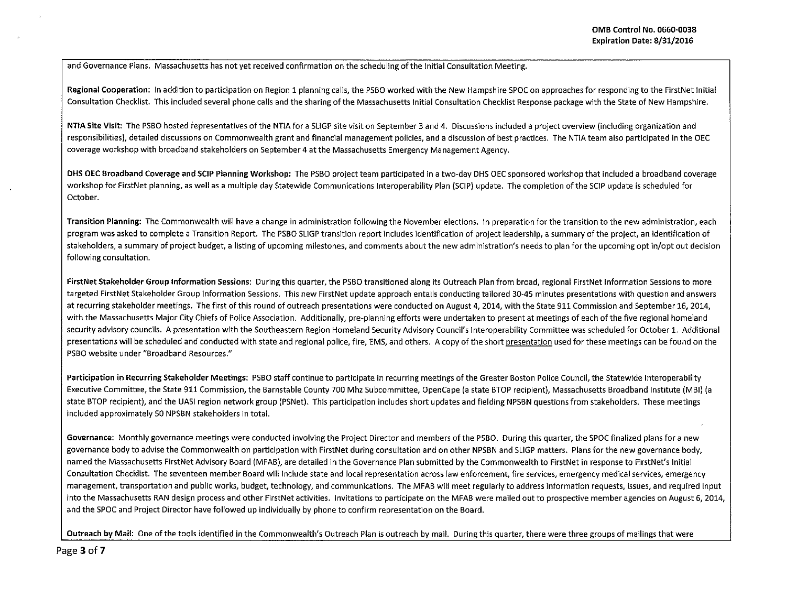and Governance Plans. Massachusetts has not yet received confirmation on the scheduling of the Initial Consultation Meeting.

Regional Cooperation: In addition to participation on Region 1 planning calls, the PSBO worked with the New Hampshire SPOC on approaches for responding to the FirstNet Initial Consultation Checklist. This included several phone calls and the sharing of the Massachusetts Initial Consultation Checklist Response package with the State of New Hampshire.

NTIA Site Visit: The PSBO hosted representatives of the NTIA for a SUGP site visit on September 3 and 4. Discussions included a project overview (including organization and responsibilities), detailed discussions on Commonwealth grant and financial management policies, and a discussion of best practices. The NTIA team also participated in the OEC coverage workshop with broadband stakeholders on September 4 at the Massachusetts Emergency Management Agency.

DHS OEC Broadband Coverage and SCIP Planning Workshop: The PSBO project team participated in a two-day DHS OEC sponsored workshop that included a broadband coverage workshop for FirstNet planning, as well as a multiple day Statewide Communications lnteroperability Plan (SCIP) update. The completion of the SCIP update is scheduled for October.

Transition Planning: The Commonwealth will have a change in administration following the November elections. In preparation for the transition to the new administration, each program was asked to complete a Transition Report. The PSBO SLIGP transition report includes identification of project leadership, a summary of the project, an identification of stakeholders, a summary of project budget, a listing of upcoming milestones, and comments about the new administration's needs to plan for the upcoming opt in/opt out decision following consultation.

FirstNet Stakeholder Group Information Sessions: During this quarter, the PSBO transitioned along its Outreach Plan from broad, regional FirstNet Information Sessions to more targeted FirstNet Stakeholder Group Information Sessions. This new FirstNet update approach entails conducting tailored 30-45 minutes presentations with question and answers at recurring stakeholder meetings. The first of this round of outreach presentations were conducted on August 4, 2014, with the State 911 Commission and September 16, 2014, with the Massachusetts Major City Chiefs of Police Association. Additionally, pre-planning efforts were undertaken to present at meetings of each of the five regional homeland security advisory councils. A presentation with the Southeastern Region Homeland Security Advisory Council's Interoperability Committee was scheduled for October 1. Additional presentations will be scheduled and conducted with state and regional police, fire, EMS, and others. A copy of the short presentation used for these meetings can be found on the PSBO website under "Broadband Resources."

Participation in Recurring Stakeholder Meetings: PSBO staff continue to participate in recurring meetings of the Greater Boston Police Council, the Statewide lnteroperability Executive Committee, the State 911 Commission, the Barnstable County 700 Mhz Subcommittee, OpenCape (a state BTOP recipient), Massachusetts Broadband Institute (MBI) (a state STOP recipient), and the UASI region network group (PSNet). This participation includes short updates and fielding NPSBN questions from stakeholders. These meetings included approximately 50 NPSBN stakeholders in total.

Governance: Monthly governance meetings were conducted involving the Project Director and members of the PSBO. During this quarter, the SPOC finalized plans for a new governance body to advise the Commonwealth on participation with FirstNet during consultation and on other NPSBN and SLIGP matters. Plans for the new governance body, named the Massachusetts FirstNet Advisory Board (MFAB), are detailed in the Governance Plan submitted by the Commonwealth to FirstNet in response to FirstNet's Initial Consultation Checklist. The seventeen member Board will include state and local representation across law enforcement, fire services, emergency medical services, emergency management, transportation and public works, budget, technology, and communications. The MFAB will meet regularly to address information requests, issues, and required input into the Massachusetts RAN design process and other FirstNet activities. Invitations to participate on the MFAB were mailed out to prospective member agencies on August 6, 2014, and the SPOC and Project Director have followed up individually by phone to confirm representation on the Board.

Outreach by Mail: One of the tools identified in the Commonwealth's Outreach Plan is outreach by mail. During this quarter, there were three groups of mailings that were

Page 3 of 7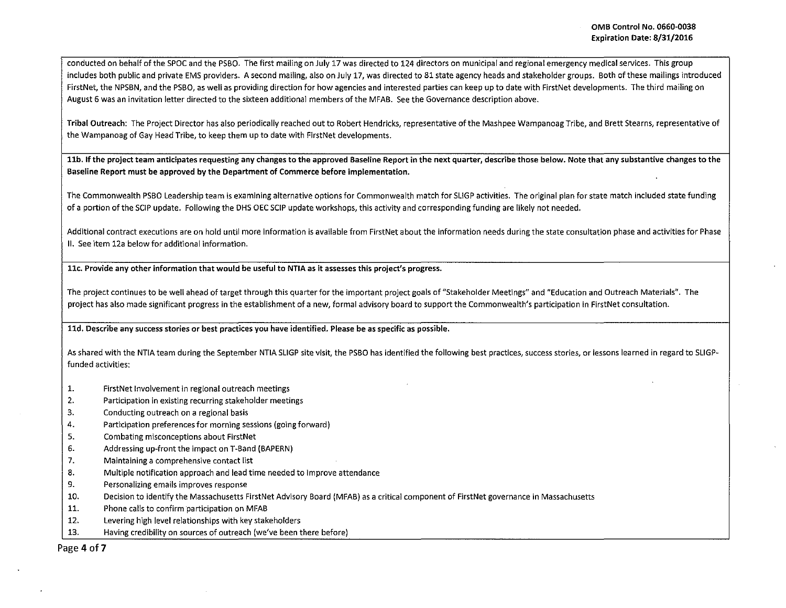conducted on behalf of the SPOC and the PSBO. The first mailing on July 17 was directed to 124 directors on municipal and regional emergency medical services. This group includes both public and private EMS providers. A second mailing, also on July 17, was directed to 81 state agency heads and stakeholder groups. Both of these mailings introduced FirstNet, the NPSBN, and the PSBO, as well as providing direction for how agencies and interested parties can keep up to date with FirstNet developments. The third mailing on August 6 was an invitation letter directed to the sixteen additional members of the MFAB. See the Governance description above.

Tribal Outreach: The Project Director has also periodically reached out to Robert Hendricks, representative of the Mashpee Wampanoag Tribe, and Brett Stearns, representative of the Wampanoag of Gay Head Tribe, to keep them up to date with FirstNet developments.

11b. If the project team anticipates requesting any changes to the approved Baseline Report in the next quarter, describe those below. Note that any substantive changes to the Baseline Report must be approved by the Department of Commerce before implementation.

The Commonwealth PSBO Leadership team is examining alternative options for Commonwealth match for SUGP activities. The original plan for state match included state funding of a portion of the SCIP update. Following the DHS OEC SCIP update workshops, this activity and corresponding funding are likely not needed.

Additional contract executions are on hold until more information is available from FirstNet about the information needs during the state consultation phase and activities for Phase II. See item 12a below for additional information.

llc. Provide any other information that would be useful to NTIA as it assesses this project's progress.

The project continues to be well ahead of target through this quarter for the important project goals of "Stakeholder Meetings" and "Education and Outreach Materials". The project has also made significant progress in the establishment of a new, formal advisory board to support the Commonwealth's participation in FirstNet consultation.

lld. Describe any success stories or best practices you have identified. Please be as specific as possible.

As shared with the NTIA team during the September NTIA SLIGP site visit, the PSBO has identified the following best practices, success stories, or lessons learned in regard to SLIGPfunded activities:

- 1. FirstNet Involvement in regional outreach meetings
- 2. Participation in existing recurring stakeholder meetings
- 3. Conducting outreach on a regional basis
- 4. Participation preferences for morning sessions {going forward)
- 5. Combating misconceptions about FirstNet
- 6. Addressing up-front the impact on T-8and (BAPERN)
- 7. Maintaining a comprehensive contact list
- 8. Multiple notification approach and lead time needed to improve attendance
- 9. Personalizing emails improves response
- 10. Decision to identify the Massachusetts FirstNet Advisory Board {MFAB) as a critical component of FirstNet governance in Massachusetts
- 11. Phone calls to confirm participation on MFAB
- 12. Levering high level relationships with key stakeholders
- 13. Having credibility on sources of outreach (we've been there before)

Page 4 of 7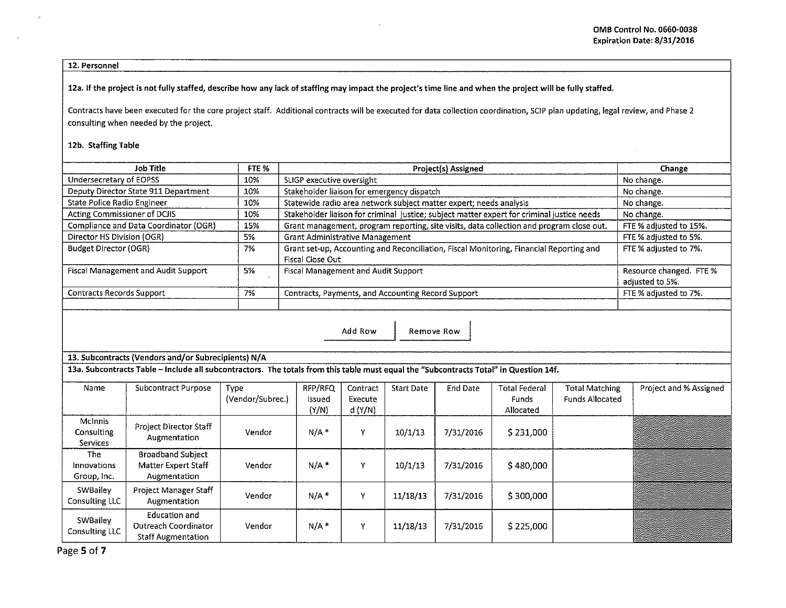12. Personnel

12a. If the project is not fully staffed, describe how any lack of staffing may impact the project's time line and when the project will be fully staffed.

Contracts have been executed for the core project staff. Additional contracts will be executed for data collection coordination, SCIP plan updating, legal review, and Phase 2 consulting when needed by the project.

12b. Staffing Table

| Job Title                                  | FTE %                                                                                           | Project(s) Assigned                                                                                         | Change                                     |  |  |  |  |  |
|--------------------------------------------|-------------------------------------------------------------------------------------------------|-------------------------------------------------------------------------------------------------------------|--------------------------------------------|--|--|--|--|--|
| Undersecretary of EOPSS                    | 10%                                                                                             | SLIGP executive oversight                                                                                   | No change.                                 |  |  |  |  |  |
| Deputy Director State 911 Department       | 10%                                                                                             | Stakeholder liaison for emergency dispatch                                                                  | No change.                                 |  |  |  |  |  |
| State Police Radio Engineer                | 10%                                                                                             | Statewide radio area network subject matter expert; needs analysis                                          | No change.                                 |  |  |  |  |  |
| Acting Commissioner of DCJIS               | 10%                                                                                             | Stakeholder liaison for criminal justice; subject matter expert for criminal justice needs                  | No change.                                 |  |  |  |  |  |
| Compliance and Data Coordinator (OGR)      | 15%<br>Grant management, program reporting, site visits, data collection and program close out. |                                                                                                             |                                            |  |  |  |  |  |
| Director HS Division (OGR)                 | 5%                                                                                              | <b>Grant Administrative Management</b>                                                                      | FTE % adjusted to 5%.                      |  |  |  |  |  |
| Budget Director (OGR)                      | 7%                                                                                              | Grant set-up, Accounting and Reconciliation, Fiscal Monitoring, Financial Reporting and<br>Fiscal Close Out | FTE % adjusted to 7%.                      |  |  |  |  |  |
| <b>Fiscal Management and Audit Support</b> | 5%                                                                                              | Fiscal Management and Audit Support                                                                         | Resource changed. FTE %<br>adjusted to 5%. |  |  |  |  |  |
| Contracts Records Support                  | 7%<br>Contracts, Payments, and Accounting Record Support                                        |                                                                                                             |                                            |  |  |  |  |  |
|                                            |                                                                                                 |                                                                                                             |                                            |  |  |  |  |  |
| Add Row<br>Remove Row                      |                                                                                                 |                                                                                                             |                                            |  |  |  |  |  |

13. Subcontracts (Vendors and/or Subrecipients) N/A

13a. Subcontracts Table - Include all subcontractors. The totals from this table must equal the "Subcontracts Total" in Question 14f.

| Name                                            | Subcontract Purpose                                                | Type<br>(Vendor/Subrec.) | RFP/RFQ<br>Issued<br>(Y/N) | Contract<br>Execute<br>d (Y/N) | <b>Start Date</b> | End Date  | <b>Total Federal</b><br>Funds<br>Allocated | <b>Total Matching</b><br><b>Funds Allocated</b> | Project and % Assigned |
|-------------------------------------------------|--------------------------------------------------------------------|--------------------------|----------------------------|--------------------------------|-------------------|-----------|--------------------------------------------|-------------------------------------------------|------------------------|
| <b>McInnis</b><br>Consulting<br><b>Services</b> | Project Director Staff<br>Augmentation                             | Vendor                   | $N/A$ *                    | v                              | 10/1/13           | 7/31/2016 | \$231,000                                  |                                                 |                        |
| The<br>Innovations<br>Group, Inc.               | <b>Broadband Subject</b><br>Matter Expert Staff<br>Augmentation    | Vendor                   | N/A                        | v                              | 10/1/13           | 7/31/2016 | \$480,000                                  |                                                 |                        |
| SWBailey<br>Consulting LLC                      | Project Manager Staff<br>Augmentation                              | Vendor                   | $N/A$ *                    | v                              | 11/18/13          | 7/31/2016 | \$300,000                                  |                                                 |                        |
| SWBailey<br>Consulting LLC                      | Education and<br>Outreach Coordinator<br><b>Staff Augmentation</b> | Vendor                   | $N/A$ *                    | v                              | 11/18/13          | 7/31/2016 | \$225,000                                  |                                                 |                        |

Page 5 of 7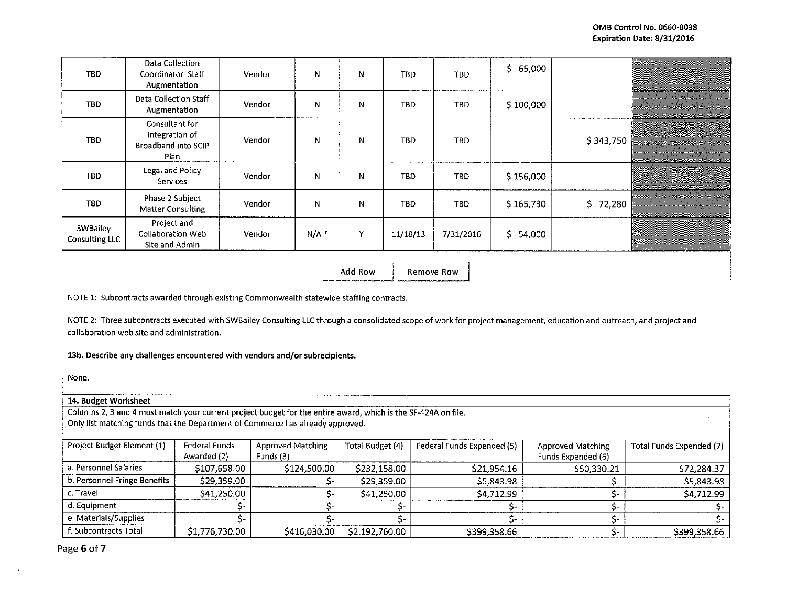| <b>TBD</b>                        | Data Collection<br>Coordinator Staff<br>Augmentation            | Vendor | N   | N | TBD        | TBD.       | \$65,000  |           |  |
|-----------------------------------|-----------------------------------------------------------------|--------|-----|---|------------|------------|-----------|-----------|--|
| TBD                               | Data Collection Staff<br>Augmentation                           | Vendor | N   | N | <b>TBD</b> | TBD.       | \$100,000 |           |  |
| TBD                               | Consultant for<br>Integration of<br>Broadband into SCIP<br>Plan | Vendor | N   | N | <b>TBD</b> | <b>TBD</b> |           | \$343,750 |  |
| TBD.                              | Legal and Policy<br>Services                                    | Vendor | N   | N | TBD        | <b>TBD</b> | \$156,000 |           |  |
| TBD.                              | Phase 2 Subject<br><b>Matter Consulting</b>                     | Vendor | N   | N | TBD        | TBD        | \$165,730 | \$72,280  |  |
| SWBailey<br><b>Consulting LLC</b> | Project and<br><b>Collaboration Web</b><br>Site and Admin       | Vendor | N/A | Y | 11/18/13   | 7/31/2016  | \$54,000  |           |  |

Add Row I Remove Row

NOTE 1: Subcontracts awarded through existing Commonwealth statewide staffing contracts.

NOTE 2: Three subcontracts executed with SWBailey Consulting LLC through a consolidated scope of work for project management, education and outreach, and project and collaboration web site and administration.

13b. Describe any challenges encountered with vendors and/or subrecipients.

None.

## 14. Budget Worksheet

Columns 2, 3 and 4 must match your current project budget for the entire award, which is the SF-424A on file. Only list matching funds that the Department of Commerce has already approved.

| Project Budget Element (1)   | Federal Funds  | <b>Approved Matching</b> | Total Budget (4) | Federal Funds Expended (5) | <b>Approved Matching</b> | Total Funds Expended (7) |
|------------------------------|----------------|--------------------------|------------------|----------------------------|--------------------------|--------------------------|
|                              | Awarded (2)    | Funds (3)                |                  |                            | Funds Expended (6)       |                          |
| a. Personnel Salaries        | \$107,658.00   | \$124,500.00             | \$232,158.00     | \$21.954.16                | \$50,330.21              | \$72,284.37              |
| b. Personnel Fringe Benefits | \$29,359.00    |                          | \$29,359.00      | \$5,843.98                 |                          | \$5,843.98               |
| c. Travel                    | \$41,250.00    |                          | \$41,250.00      | \$4,712.99                 |                          | \$4,712.99               |
| d. Eauipment                 |                |                          |                  |                            |                          |                          |
| e. Materials/Supplies        |                |                          |                  |                            |                          |                          |
| f. Subcontracts Total        | \$1,776,730.00 | \$416,030.00             | \$2,192,760.00   | \$399,358.66               |                          | \$399,358.66             |

Page 6 of 7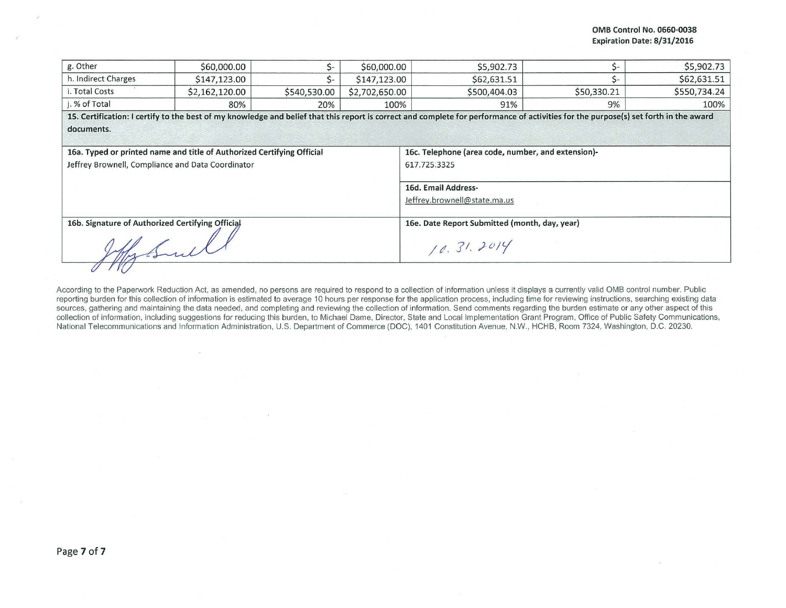| g. Other                                         | \$60,000.00                                                            | \$-          | \$60,000.00    | \$5,902.73                                                                                                                                                                           |             | \$5,902.73   |  |  |
|--------------------------------------------------|------------------------------------------------------------------------|--------------|----------------|--------------------------------------------------------------------------------------------------------------------------------------------------------------------------------------|-------------|--------------|--|--|
| h. Indirect Charges                              | \$147,123.00                                                           | Ś-           | \$147,123.00   | \$62,631.51                                                                                                                                                                          | S-          | \$62,631.51  |  |  |
| i. Total Costs                                   | \$2,162,120.00                                                         | \$540,530.00 | \$2,702,650.00 | \$500,404.03                                                                                                                                                                         | \$50,330.21 | \$550,734.24 |  |  |
| j. % of Total                                    | 80%                                                                    | 20%          | 100%           | 91%                                                                                                                                                                                  | 9%          | 100%         |  |  |
| documents.                                       |                                                                        |              |                | 15. Certification: I certify to the best of my knowledge and belief that this report is correct and complete for performance of activities for the purpose(s) set forth in the award |             |              |  |  |
|                                                  | 16a. Typed or printed name and title of Authorized Certifying Official |              |                | 16c. Telephone (area code, number, and extension)-                                                                                                                                   |             |              |  |  |
|                                                  | Jeffrey Brownell, Compliance and Data Coordinator                      |              |                | 617.725.3325                                                                                                                                                                         |             |              |  |  |
|                                                  |                                                                        |              |                | 16d. Email Address-<br>Jeffrey.brownell@state.ma.us                                                                                                                                  |             |              |  |  |
| 16b. Signature of Authorized Certifying Official |                                                                        |              |                | 16e. Date Report Submitted (month, day, year)                                                                                                                                        |             |              |  |  |
|                                                  |                                                                        |              |                | 10.31.2014                                                                                                                                                                           |             |              |  |  |
|                                                  |                                                                        |              |                |                                                                                                                                                                                      |             |              |  |  |

According to the Paperwork Reduction Act, as amended, no persons are required to respond to a collection of information unless it displays a currently valid OMB control number. Public reporting burden for this collection of information is estimated to average 10 hours per response for the application process, including time for reviewing instructions, searching existing data sources, gathering and maintaining the data needed, and completing and reviewing the collection of information. Send comments regarding the burden estimate or any other aspect of this collection of information. including suggestions for reducing this burden, to Michael Dame. Director, State and Local Implementation Grant Program . Office of Public Safety Communications, National Telecommunications and Information Administration, U.S. Department of Commerce (DOC), 1401 Constitution Avenue, N.W., HCHB, Room 7324, Washington, D.C. 20230.

 $\sim$